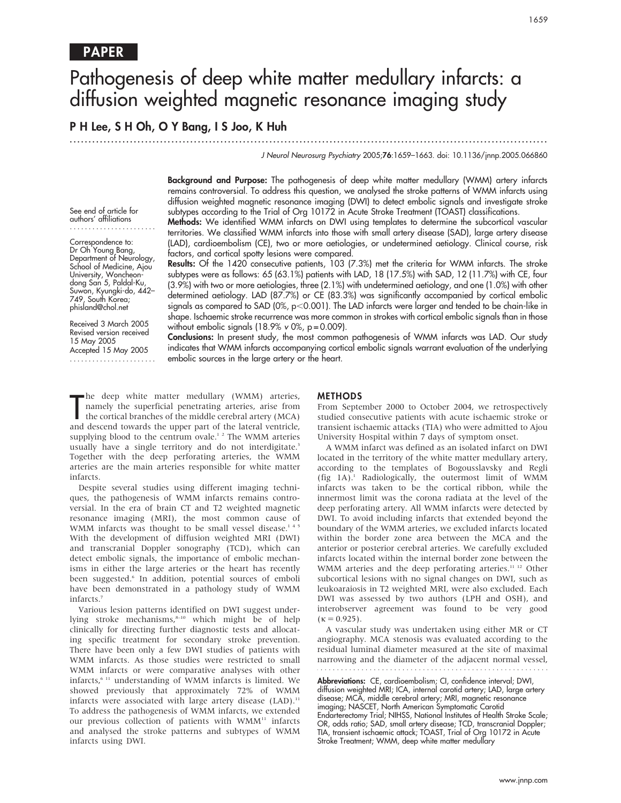# Pathogenesis of deep white matter medullary infarcts: a diffusion weighted magnetic resonance imaging study

## P H Lee, S H Oh, O Y Bang, I S Joo, K Huh

...............................................................................................................................

J Neurol Neurosurg Psychiatry 2005;76:1659–1663. doi: 10.1136/jnnp.2005.066860

Background and Purpose: The pathogenesis of deep white matter medullary (WMM) artery infarcts remains controversial. To address this question, we analysed the stroke patterns of WMM infarcts using diffusion weighted magnetic resonance imaging (DWI) to detect embolic signals and investigate stroke subtypes according to the Trial of Org 10172 in Acute Stroke Treatment (TOAST) classifications.

Methods: We identified WMM infarcts on DWI using templates to determine the subcortical vascular territories. We classified WMM infarcts into those with small artery disease (SAD), large artery disease (LAD), cardioembolism (CE), two or more aetiologies, or undetermined aetiology. Clinical course, risk factors, and cortical spotty lesions were compared.

Results: Of the 1420 consecutive patients, 103 (7.3%) met the criteria for WMM infarcts. The stroke subtypes were as follows: 65 (63.1%) patients with LAD, 18 (17.5%) with SAD, 12 (11.7%) with CE, four (3.9%) with two or more aetiologies, three (2.1%) with undetermined aetiology, and one (1.0%) with other determined aetiology. LAD (87.7%) or CE (83.3%) was significantly accompanied by cortical embolic signals as compared to SAD (0%, p<0.001). The LAD infarcts were larger and tended to be chain-like in shape. Ischaemic stroke recurrence was more common in strokes with cortical embolic signals than in those without embolic signals (18.9%  $v$  0%, p=0.009).

Conclusions: In present study, the most common pathogenesis of WMM infarcts was LAD. Our study indicates that WMM infarcts accompanying cortical embolic signals warrant evaluation of the underlying embolic sources in the large artery or the heart.

The deep white matter medullary (WMM) arteries,<br>namely the superficial penetrating arteries, arise from<br>the cortical branches of the middle cerebral artery (MCA)<br>and descend towards the upper part of the lateral ventricle, he deep white matter medullary (WMM) arteries, namely the superficial penetrating arteries, arise from the cortical branches of the middle cerebral artery (MCA) supplying blood to the centrum ovale.<sup>1.2</sup> The WMM arteries usually have a single territory and do not interdigitate.<sup>3</sup> Together with the deep perforating arteries, the WMM arteries are the main arteries responsible for white matter infarcts.

Despite several studies using different imaging techniques, the pathogenesis of WMM infarcts remains controversial. In the era of brain CT and T2 weighted magnetic resonance imaging (MRI), the most common cause of WMM infarcts was thought to be small vessel disease.<sup>145</sup> With the development of diffusion weighted MRI (DWI) and transcranial Doppler sonography (TCD), which can detect embolic signals, the importance of embolic mechanisms in either the large arteries or the heart has recently been suggested.<sup>6</sup> In addition, potential sources of emboli have been demonstrated in a pathology study of WMM infarcts.7

Various lesion patterns identified on DWI suggest underlying stroke mechanisms, $s_{-10}$  which might be of help clinically for directing further diagnostic tests and allocating specific treatment for secondary stroke prevention. There have been only a few DWI studies of patients with WMM infarcts. As those studies were restricted to small WMM infarcts or were comparative analyses with other infarcts,6 11 understanding of WMM infarcts is limited. We showed previously that approximately 72% of WMM infarcts were associated with large artery disease  $(LAD)$ .<sup>11</sup> To address the pathogenesis of WMM infarcts, we extended our previous collection of patients with WMM<sup>11</sup> infarcts and analysed the stroke patterns and subtypes of WMM infarcts using DWI.

#### METHODS

From September 2000 to October 2004, we retrospectively studied consecutive patients with acute ischaemic stroke or transient ischaemic attacks (TIA) who were admitted to Ajou University Hospital within 7 days of symptom onset.

A WMM infarct was defined as an isolated infarct on DWI located in the territory of the white matter medullary artery, according to the templates of Bogousslavsky and Regli (fig 1A).1 Radiologically, the outermost limit of WMM infarcts was taken to be the cortical ribbon, while the innermost limit was the corona radiata at the level of the deep perforating artery. All WMM infarcts were detected by DWI. To avoid including infarcts that extended beyond the boundary of the WMM arteries, we excluded infarcts located within the border zone area between the MCA and the anterior or posterior cerebral arteries. We carefully excluded infarcts located within the internal border zone between the WMM arteries and the deep perforating arteries.<sup>11-12</sup> Other subcortical lesions with no signal changes on DWI, such as leukoaraiosis in T2 weighted MRI, were also excluded. Each DWI was assessed by two authors (LPH and OSH), and interobserver agreement was found to be very good  $(\kappa = 0.925)$ .

A vascular study was undertaken using either MR or CT angiography. MCA stenosis was evaluated according to the residual luminal diameter measured at the site of maximal narrowing and the diameter of the adjacent normal vessel,

**Abbreviations:** CE, cardioembolism; CI, confidence interval; DWI, diffusion weighted MRI; ICA, internal carotid artery; LAD, large artery disease; MCA, middle cerebral artery; MRI, magnetic resonance imaging; NASCET, North American Symptomatic Carotid Endarterectomy Trial; NIHSS, National Institutes of Health Stroke Scale; OR, odds ratio; SAD, small artery disease; TCD, transcranial Doppler; TIA, transient ischaemic attack; TOAST, Trial of Org 10172 in Acute Stroke Treatment; WMM, deep white matter medullary

See end of article for authors' affiliations .......................

Correspondence to: Dr Oh Young Bang, Department of Neurology, School of Medicine, Ajou University, Woncheondong San 5, Paldal-Ku, Suwon, Kyungki-do, 442– 749, South Korea; phisland@chol.net

Received 3 March 2005 Revised version received 15 May 2005 Accepted 15 May 2005 .......................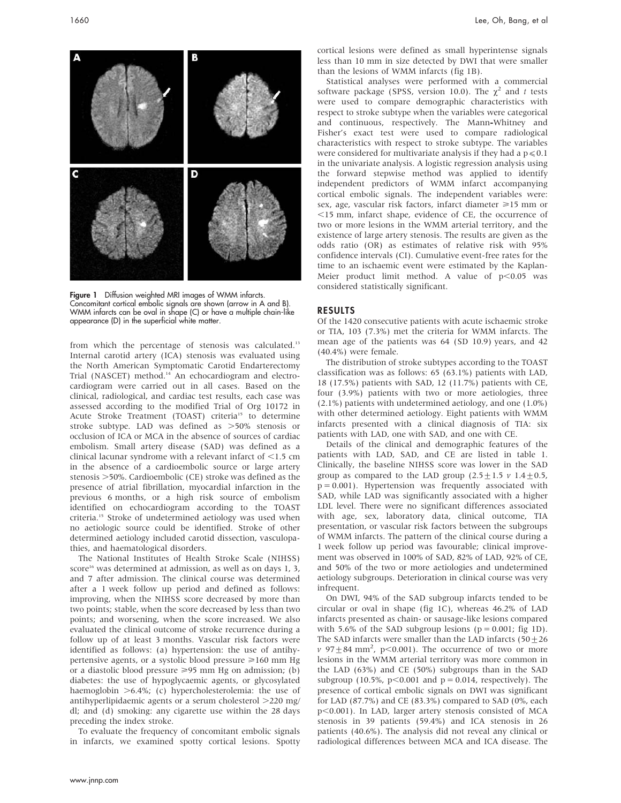

Figure 1 Diffusion weighted MRI images of WMM infarcts. Concomitant cortical embolic signals are shown (arrow in A and B). WMM infarcts can be oval in shape (C) or have a multiple chain-like appearance (D) in the superficial white matter.

from which the percentage of stenosis was calculated.<sup>13</sup> Internal carotid artery (ICA) stenosis was evaluated using the North American Symptomatic Carotid Endarterectomy Trial (NASCET) method.<sup>14</sup> An echocardiogram and electrocardiogram were carried out in all cases. Based on the clinical, radiological, and cardiac test results, each case was assessed according to the modified Trial of Org 10172 in Acute Stroke Treatment (TOAST) criteria<sup>15</sup> to determine stroke subtype. LAD was defined as  $>50\%$  stenosis or occlusion of ICA or MCA in the absence of sources of cardiac embolism. Small artery disease (SAD) was defined as a clinical lacunar syndrome with a relevant infarct of  $\leq$ 1.5 cm in the absence of a cardioembolic source or large artery stenosis >50%. Cardioembolic (CE) stroke was defined as the presence of atrial fibrillation, myocardial infarction in the previous 6 months, or a high risk source of embolism identified on echocardiogram according to the TOAST criteria.<sup>15</sup> Stroke of undetermined aetiology was used when no aetiologic source could be identified. Stroke of other determined aetiology included carotid dissection, vasculopathies, and haematological disorders.

The National Institutes of Health Stroke Scale (NIHSS) score<sup>16</sup> was determined at admission, as well as on days 1, 3, and 7 after admission. The clinical course was determined after a 1 week follow up period and defined as follows: improving, when the NIHSS score decreased by more than two points; stable, when the score decreased by less than two points; and worsening, when the score increased. We also evaluated the clinical outcome of stroke recurrence during a follow up of at least 3 months. Vascular risk factors were identified as follows: (a) hypertension: the use of antihypertensive agents, or a systolic blood pressure  $\geq 160$  mm Hg or a diastolic blood pressure  $\geq 95$  mm Hg on admission; (b) diabetes: the use of hypoglycaemic agents, or glycosylated haemoglobin  $>6.4\%$ ; (c) hypercholesterolemia: the use of antihyperlipidaemic agents or a serum cholesterol  $>220$  mg/ dl; and (d) smoking: any cigarette use within the 28 days preceding the index stroke.

To evaluate the frequency of concomitant embolic signals in infarcts, we examined spotty cortical lesions. Spotty cortical lesions were defined as small hyperintense signals less than 10 mm in size detected by DWI that were smaller than the lesions of WMM infarcts (fig 1B).

Statistical analyses were performed with a commercial software package (SPSS, version 10.0). The  $\chi^2$  and t tests were used to compare demographic characteristics with respect to stroke subtype when the variables were categorical and continuous, respectively. The Mann-Whitney and Fisher's exact test were used to compare radiological characteristics with respect to stroke subtype. The variables were considered for multivariate analysis if they had a  $p \le 0.1$ in the univariate analysis. A logistic regression analysis using the forward stepwise method was applied to identify independent predictors of WMM infarct accompanying cortical embolic signals. The independent variables were: sex, age, vascular risk factors, infarct diameter  $\geq 15$  mm or ,15 mm, infarct shape, evidence of CE, the occurrence of two or more lesions in the WMM arterial territory, and the existence of large artery stenosis. The results are given as the odds ratio (OR) as estimates of relative risk with 95% confidence intervals (CI). Cumulative event-free rates for the time to an ischaemic event were estimated by the Kaplan-Meier product limit method. A value of  $p<0.05$  was considered statistically significant.

### RESULTS

Of the 1420 consecutive patients with acute ischaemic stroke or TIA, 103 (7.3%) met the criteria for WMM infarcts. The mean age of the patients was 64 (SD 10.9) years, and 42 (40.4%) were female.

The distribution of stroke subtypes according to the TOAST classification was as follows: 65 (63.1%) patients with LAD, 18 (17.5%) patients with SAD, 12 (11.7%) patients with CE, four (3.9%) patients with two or more aetiologies, three (2.1%) patients with undetermined aetiology, and one (1.0%) with other determined aetiology. Eight patients with WMM infarcts presented with a clinical diagnosis of TIA: six patients with LAD, one with SAD, and one with CE.

Details of the clinical and demographic features of the patients with LAD, SAD, and CE are listed in table 1. Clinically, the baseline NIHSS score was lower in the SAD group as compared to the LAD group  $(2.5 \pm 1.5 \text{ v } 1.4 \pm 0.5,$  $p = 0.001$ ). Hypertension was frequently associated with SAD, while LAD was significantly associated with a higher LDL level. There were no significant differences associated with age, sex, laboratory data, clinical outcome, TIA presentation, or vascular risk factors between the subgroups of WMM infarcts. The pattern of the clinical course during a 1 week follow up period was favourable; clinical improvement was observed in 100% of SAD, 82% of LAD, 92% of CE, and 50% of the two or more aetiologies and undetermined aetiology subgroups. Deterioration in clinical course was very infrequent.

On DWI, 94% of the SAD subgroup infarcts tended to be circular or oval in shape (fig 1C), whereas 46.2% of LAD infarcts presented as chain- or sausage-like lesions compared with 5.6% of the SAD subgroup lesions ( $p = 0.001$ ; fig 1D). The SAD infarcts were smaller than the LAD infarcts (50 $\pm$ 26  $v$  97 $\pm$ 84 mm<sup>2</sup>, p<0.001). The occurrence of two or more lesions in the WMM arterial territory was more common in the LAD (63%) and CE (50%) subgroups than in the SAD subgroup (10.5%,  $p<0.001$  and  $p = 0.014$ , respectively). The presence of cortical embolic signals on DWI was significant for LAD (87.7%) and CE (83.3%) compared to SAD (0%, each p<0.001). In LAD, larger artery stenosis consisted of MCA stenosis in 39 patients (59.4%) and ICA stenosis in 26 patients (40.6%). The analysis did not reveal any clinical or radiological differences between MCA and ICA disease. The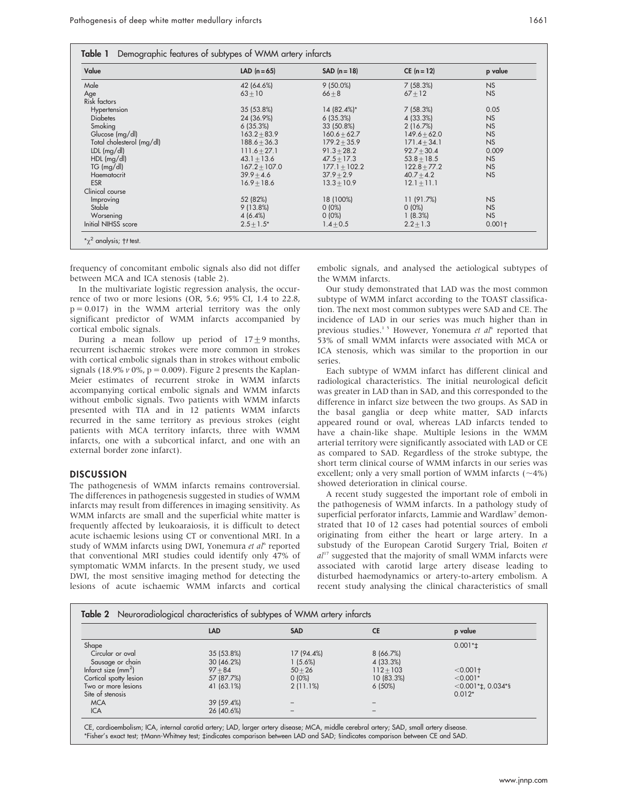| Value                     | LAD $(n = 65)$  | $SAD (n = 18)$  | $CE (n = 12)$  | p value   |
|---------------------------|-----------------|-----------------|----------------|-----------|
| Male                      | 42 (64.6%)      | $9(50.0\%)$     | 7(58.3%)       | <b>NS</b> |
| Age                       | $63 + 10$       | $66 + 8$        | $67 + 12$      | <b>NS</b> |
| Risk factors              |                 |                 |                |           |
| Hypertension              | 35 (53.8%)      | 14 (82.4%)*     | 7(58.3%)       | 0.05      |
| <b>Diabetes</b>           | 24 (36.9%)      | 6(35.3%)        | 4 (33.3%)      | <b>NS</b> |
| Smoking                   | 6(35.3%)        | 33 (50.8%)      | 2(16.7%)       | <b>NS</b> |
| Glucose (mg/dl)           | $163.2 + 83.9$  | $160.6 + 62.7$  | $149.6 + 62.0$ | <b>NS</b> |
| Total cholesterol (mg/dl) | $188.6 + 36.3$  | $179.2 + 35.9$  | $171.4 + 34.1$ | <b>NS</b> |
| LDL $(mg/d)$              | $111.6 + 27.1$  | $91.3 + 28.2$   | $92.7 + 30.4$  | 0.009     |
| $HDL$ (mg/dl)             | $43.1 + 13.6$   | $47.5 + 17.3$   | $53.8 + 18.5$  | <b>NS</b> |
| $TG \, (mg/dl)$           | $167.2 + 107.0$ | $177.1 + 102.2$ | $122.8 + 77.2$ | <b>NS</b> |
| Haematocrit               | $39.9 + 4.6$    | $37.9 + 2.9$    | $40.7 + 4.2$   | <b>NS</b> |
| <b>ESR</b>                | $16.9 + 18.6$   | $13.3 \pm 10.9$ | $12.1 + 11.1$  |           |
| Clinical course           |                 |                 |                |           |
| Improving                 | 52 (82%)        | 18 (100%)       | 11(91.7%)      | <b>NS</b> |
| Stable                    | $9(13.8\%)$     | $0(0\%)$        | $0(0\%)$       | <b>NS</b> |
| Worsening                 | $4(6.4\%)$      | $0(0\%)$        | 1(8.3%)        | <b>NS</b> |
| Initial NIHSS score       | $2.5 \pm 1.5^*$ | $1.4 \pm 0.5$   | $2.2 \pm 1.3$  | $0.001+$  |

frequency of concomitant embolic signals also did not differ between MCA and ICA stenosis (table 2).

In the multivariate logistic regression analysis, the occurrence of two or more lesions (OR, 5.6; 95% CI, 1.4 to 22.8,  $p = 0.017$ ) in the WMM arterial territory was the only significant predictor of WMM infarcts accompanied by cortical embolic signals.

During a mean follow up period of  $17+9$  months, recurrent ischaemic strokes were more common in strokes with cortical embolic signals than in strokes without embolic signals (18.9%  $\nu$  0%, p = 0.009). Figure 2 presents the Kaplan-Meier estimates of recurrent stroke in WMM infarcts accompanying cortical embolic signals and WMM infarcts without embolic signals. Two patients with WMM infarcts presented with TIA and in 12 patients WMM infarcts recurred in the same territory as previous strokes (eight patients with MCA territory infarcts, three with WMM infarcts, one with a subcortical infarct, and one with an external border zone infarct).

#### **DISCUSSION**

The pathogenesis of WMM infarcts remains controversial. The differences in pathogenesis suggested in studies of WMM infarcts may result from differences in imaging sensitivity. As WMM infarcts are small and the superficial white matter is frequently affected by leukoaraiosis, it is difficult to detect acute ischaemic lesions using CT or conventional MRI. In a study of WMM infarcts using DWI, Yonemura et al<sup>6</sup> reported that conventional MRI studies could identify only 47% of symptomatic WMM infarcts. In the present study, we used DWI, the most sensitive imaging method for detecting the lesions of acute ischaemic WMM infarcts and cortical embolic signals, and analysed the aetiological subtypes of the WMM infarcts.

Our study demonstrated that LAD was the most common subtype of WMM infarct according to the TOAST classification. The next most common subtypes were SAD and CE. The incidence of LAD in our series was much higher than in previous studies.<sup>15</sup> However, Yonemura et al<sup>6</sup> reported that 53% of small WMM infarcts were associated with MCA or ICA stenosis, which was similar to the proportion in our series.

Each subtype of WMM infarct has different clinical and radiological characteristics. The initial neurological deficit was greater in LAD than in SAD, and this corresponded to the difference in infarct size between the two groups. As SAD in the basal ganglia or deep white matter, SAD infarcts appeared round or oval, whereas LAD infarcts tended to have a chain-like shape. Multiple lesions in the WMM arterial territory were significantly associated with LAD or CE as compared to SAD. Regardless of the stroke subtype, the short term clinical course of WMM infarcts in our series was excellent; only a very small portion of WMM infarcts  $(-4%)$ showed deterioration in clinical course.

A recent study suggested the important role of emboli in the pathogenesis of WMM infarcts. In a pathology study of superficial perforator infarcts, Lammie and Wardlaw<sup>7</sup> demonstrated that 10 of 12 cases had potential sources of emboli originating from either the heart or large artery. In a substudy of the European Carotid Surgery Trial, Boiten et  $al<sup>17</sup>$  suggested that the majority of small WMM infarcts were associated with carotid large artery disease leading to disturbed haemodynamics or artery-to-artery embolism. A recent study analysing the clinical characteristics of small

|                              | <b>LAD</b> | <b>SAD</b> | <b>CE</b>   | p value                    |
|------------------------------|------------|------------|-------------|----------------------------|
| Shape                        |            |            |             | $0.001*$                   |
| Circular or oval             | 35 (53.8%) | 17 (94.4%) | 8(66.7%)    |                            |
| Sausage or chain             | 30(46.2%)  | 1(5.6%)    | 4 (33.3%)   |                            |
| Infarct size $\text{mm}^2$ ) | $97 + 84$  | $50 + 26$  | $112 + 103$ | $< 0.001$ +                |
| Cortical spotty lesion       | 57 (87.7%) | $0(0\%)$   | 10 (83.3%)  | $< 0.001*$                 |
| Two or more lesions          | 41 (63.1%) | 2(11.1%)   | 6(50%)      | $<$ 0.001* $\pm$ , 0.034*§ |
| Site of stenosis             |            |            |             | $0.012*$                   |
| <b>MCA</b>                   | 39 (59.4%) |            |             |                            |
| <b>ICA</b>                   | 26 (40.6%) |            | -           |                            |

\*Fisher's exact test; Mann-Whitney test; `indicates comparison between LAD and SAD; 1indicates comparison between CE and SAD.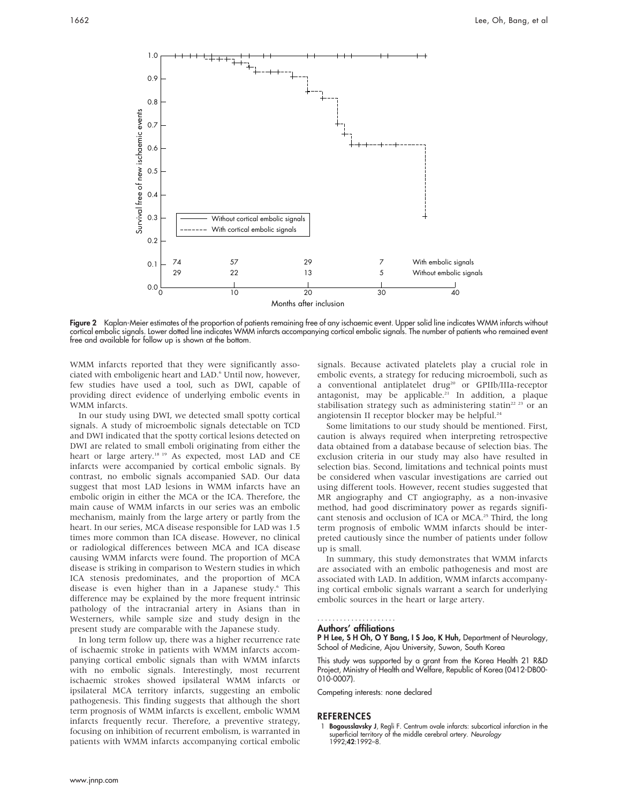

Figure 2 Kaplan-Meier estimates of the proportion of patients remaining free of any ischaemic event. Upper solid line indicates WMM infarcts without cortical embolic signals. Lower dotted line indicates WMM infarcts accompanying cortical embolic signals. The number of patients who remained event free and available for follow up is shown at the bottom.

WMM infarcts reported that they were significantly associated with emboligenic heart and LAD.<sup>6</sup> Until now, however, few studies have used a tool, such as DWI, capable of providing direct evidence of underlying embolic events in WMM infarcts.

In our study using DWI, we detected small spotty cortical signals. A study of microembolic signals detectable on TCD and DWI indicated that the spotty cortical lesions detected on DWI are related to small emboli originating from either the heart or large artery.<sup>18 19</sup> As expected, most LAD and CE infarcts were accompanied by cortical embolic signals. By contrast, no embolic signals accompanied SAD. Our data suggest that most LAD lesions in WMM infarcts have an embolic origin in either the MCA or the ICA. Therefore, the main cause of WMM infarcts in our series was an embolic mechanism, mainly from the large artery or partly from the heart. In our series, MCA disease responsible for LAD was 1.5 times more common than ICA disease. However, no clinical or radiological differences between MCA and ICA disease causing WMM infarcts were found. The proportion of MCA disease is striking in comparison to Western studies in which ICA stenosis predominates, and the proportion of MCA disease is even higher than in a Japanese study.<sup>6</sup> This difference may be explained by the more frequent intrinsic pathology of the intracranial artery in Asians than in Westerners, while sample size and study design in the present study are comparable with the Japanese study.

In long term follow up, there was a higher recurrence rate of ischaemic stroke in patients with WMM infarcts accompanying cortical embolic signals than with WMM infarcts with no embolic signals. Interestingly, most recurrent ischaemic strokes showed ipsilateral WMM infarcts or ipsilateral MCA territory infarcts, suggesting an embolic pathogenesis. This finding suggests that although the short term prognosis of WMM infarcts is excellent, embolic WMM infarcts frequently recur. Therefore, a preventive strategy, focusing on inhibition of recurrent embolism, is warranted in patients with WMM infarcts accompanying cortical embolic signals. Because activated platelets play a crucial role in embolic events, a strategy for reducing microemboli, such as a conventional antiplatelet drug<sup>20</sup> or GPIIb/IIIa-receptor antagonist, may be applicable.<sup>21</sup> In addition, a plaque stabilisation strategy such as administering statin<sup>22</sup> <sup>23</sup> or an angiotensin II receptor blocker may be helpful.<sup>24</sup>

Some limitations to our study should be mentioned. First, caution is always required when interpreting retrospective data obtained from a database because of selection bias. The exclusion criteria in our study may also have resulted in selection bias. Second, limitations and technical points must be considered when vascular investigations are carried out using different tools. However, recent studies suggested that MR angiography and CT angiography, as a non-invasive method, had good discriminatory power as regards significant stenosis and occlusion of ICA or MCA.<sup>25</sup> Third, the long term prognosis of embolic WMM infarcts should be interpreted cautiously since the number of patients under follow up is small.

In summary, this study demonstrates that WMM infarcts are associated with an embolic pathogenesis and most are associated with LAD. In addition, WMM infarcts accompanying cortical embolic signals warrant a search for underlying embolic sources in the heart or large artery.

## .....................

Authors' affiliations

P H Lee, S H Oh, O Y Bang, I S Joo, K Huh, Department of Neurology, School of Medicine, Ajou University, Suwon, South Korea

This study was supported by a grant from the Korea Health 21 R&D Project, Ministry of Health and Welfare, Republic of Korea (0412-DB00-010-0007).

Competing interests: none declared

#### REFERENCES

Bogousslavsky J, Regli F. Centrum ovale infarcts: subcortical infarction in the superficial territory of the middle cerebral artery. Neurology<br>1992;**42**:1992–8.